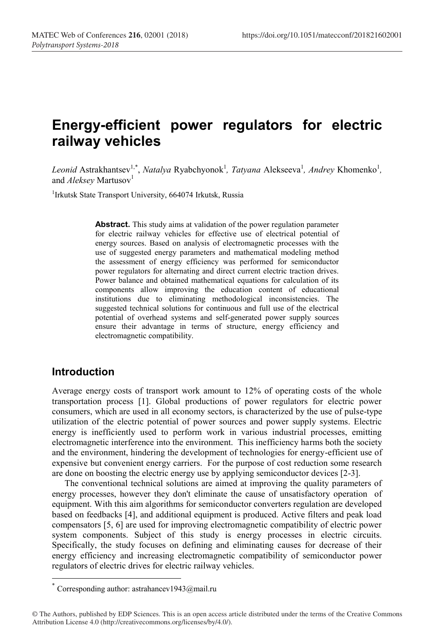# **Energy-efficient power regulators for electric railway vehicles**

Leonid Astrakhantsev<sup>1,\*</sup>, *Natalya* Ryabchyonok<sup>1</sup>, *Tatyana* Alekseeva<sup>1</sup>, *Andrey* Khomenko<sup>1</sup>, and *Aleksey* Martusov<sup>1</sup>

<sup>1</sup>Irkutsk State Transport University, 664074 Irkutsk, Russia

Abstract. This study aims at validation of the power regulation parameter for electric railway vehicles for effective use of electrical potential of energy sources. Based on analysis of electromagnetic processes with the use of suggested energy parameters and mathematical modeling method the assessment of energy efficiency was performed for semiconductor power regulators for alternating and direct current electric traction drives. Power balance and obtained mathematical equations for calculation of its components allow improving the education content of educational institutions due to eliminating methodological inconsistencies. The suggested technical solutions for continuous and full use of the electrical potential of overhead systems and self-generated power supply sources ensure their advantage in terms of structure, energy efficiency and electromagnetic compatibility.

#### **Introduction**

Average energy costs of transport work amount to 12% of operating costs of the whole transportation process [1]. Global productions of power regulators for electric power consumers, which are used in all economy sectors, is characterized by the use of pulse-type utilization of the electric potential of power sources and power supply systems. Electric energy is inefficiently used to perform work in various industrial processes, emitting electromagnetic interference into the environment. This inefficiency harms both the society and the environment, hindering the development of technologies for energy-efficient use of expensive but convenient energy carriers. For the purpose of cost reduction some research are done on boosting the electric energy use by applying semiconductor devices [2-3].

The conventional technical solutions are aimed at improving the quality parameters of energy processes, however they don't eliminate the cause of unsatisfactory operation of equipment. With this aim algorithms for semiconductor converters regulation are developed based on feedbacks [4], and additional equipment is produced. Active filters and peak load compensators [5, 6] are used for improving electromagnetic compatibility of electric power system components. Subject of this study is energy processes in electric circuits. Specifically, the study focuses on defining and eliminating causes for decrease of their energy efficiency and increasing electromagnetic compatibility of semiconductor power regulators of electric drives for electric railway vehicles.

Corresponding author: astrahancev1943@mail.ru

<sup>©</sup> The Authors, published by EDP Sciences. This is an open access article distributed under the terms of the Creative Commons Attribution License 4.0 (http://creativecommons.org/licenses/by/4.0/).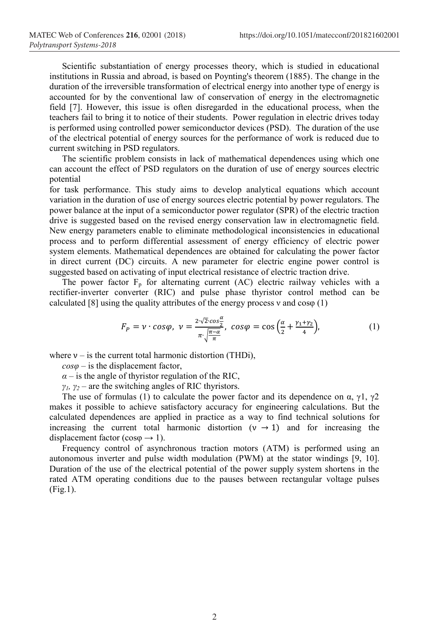Scientific substantiation of energy processes theory, which is studied in educational institutions in Russia and abroad, is based on Poynting's theorem (1885). The change in the duration of the irreversible transformation of electrical energy into another type of energy is accounted for by the conventional law of conservation of energy in the electromagnetic field [7]. However, this issue is often disregarded in the educational process, when the teachers fail to bring it to notice of their students. Power regulation in electric drives today is performed using controlled power semiconductor devices (PSD). The duration of the use of the electrical potential of energy sources for the performance of work is reduced due to current switching in PSD regulators.

The scientific problem consists in lack of mathematical dependences using which one can account the effect of PSD regulators on the duration of use of energy sources electric potential

for task performance. This study aims to develop analytical equations which account variation in the duration of use of energy sources electric potential by power regulators. The power balance at the input of a semiconductor power regulator (SPR) of the electric traction drive is suggested based on the revised energy conservation law in electromagnetic field. New energy parameters enable to eliminate methodological inconsistencies in educational process and to perform differential assessment of energy efficiency of electric power system elements. Mathematical dependences are obtained for calculating the power factor in direct current (DC) circuits. A new parameter for electric engine power control is suggested based on activating of input electrical resistance of electric traction drive.

The power factor  $F_p$  for alternating current (AC) electric railway vehicles with a rectifier-inverter converter (RIC) and pulse phase thyristor control method can be calculated [8] using the quality attributes of the energy process v and  $\cos\varphi$  (1)

$$
F_P = \nu \cdot \cos\varphi, \ \nu = \frac{2\sqrt{2}\cdot\cos\frac{\alpha}{2}}{\pi \cdot \sqrt{\frac{\pi-\alpha}{\pi}}}, \ \cos\varphi = \cos\left(\frac{\alpha}{2} + \frac{\gamma_1 + \gamma_2}{4}\right), \tag{1}
$$

where  $v -$  is the current total harmonic distortion (THDi),

 $cos\varphi$  – is the displacement factor,

 $\alpha$  – is the angle of thyristor regulation of the RIC,

*γ1, γ<sup>2</sup>* – are the switching angles of RIC thyristors.

The use of formulas (1) to calculate the power factor and its dependence on  $\alpha$ ,  $\gamma$ 1,  $\gamma$ 2 makes it possible to achieve satisfactory accuracy for engineering calculations. But the calculated dependences are applied in practice as a way to find technical solutions for increasing the current total harmonic distortion ( $v \rightarrow 1$ ) and for increasing the displacement factor ( $\cos \varphi \rightarrow 1$ ).

Frequency control of asynchronous traction motors (ATM) is performed using an autonomous inverter and pulse width modulation (PWM) at the stator windings [9, 10]. Duration of the use of the electrical potential of the power supply system shortens in the rated ATM operating conditions due to the pauses between rectangular voltage pulses (Fig.1).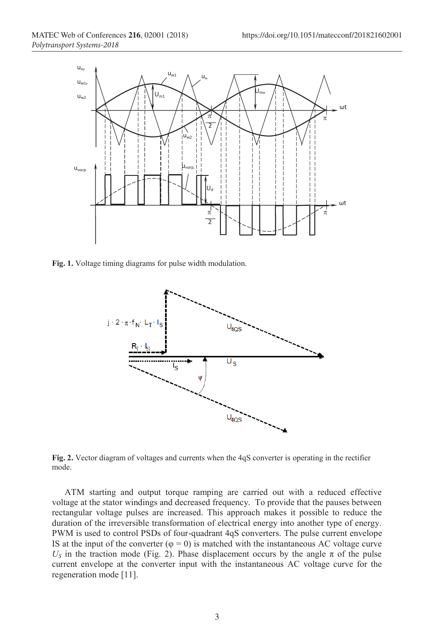

Fig. 1. Voltage timing diagrams for pulse width modulation.



**Fig. 2.** Vector diagram of voltages and currents when the 4qS converter is operating in the rectifier mode.

ATM starting and output torque ramping are carried out with a reduced effective voltage at the stator windings and decreased frequency. To provide that the pauses between rectangular voltage pulses are increased. This approach makes it possible to reduce the duration of the irreversible transformation of electrical energy into another type of energy. PWM is used to control PSDs of four-quadrant 4qS converters. The pulse current envelope IS at the input of the converter  $(\varphi = 0)$  is matched with the instantaneous AC voltage curve  $U<sub>S</sub>$  in the traction mode (Fig. 2). Phase displacement occurs by the angle  $\pi$  of the pulse current envelope at the converter input with the instantaneous AC voltage curve for the regeneration mode [11].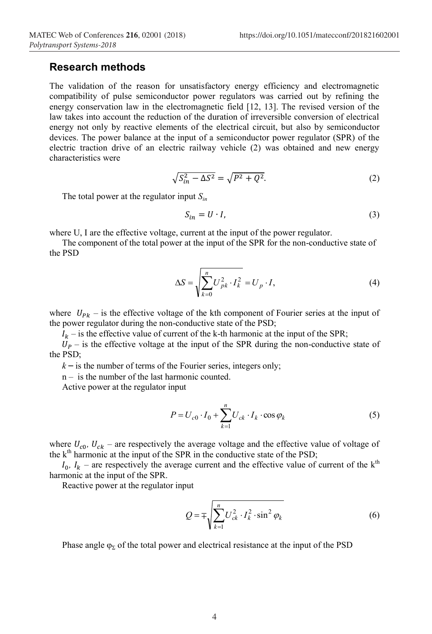#### **Research methods**

The validation of the reason for unsatisfactory energy efficiency and electromagnetic compatibility of pulse semiconductor power regulators was carried out by refining the energy conservation law in the electromagnetic field [12, 13]. The revised version of the law takes into account the reduction of the duration of irreversible conversion of electrical energy not only by reactive elements of the electrical circuit, but also by semiconductor devices. The power balance at the input of a semiconductor power regulator (SPR) of the electric traction drive of an electric railway vehicle (2) was obtained and new energy characteristics were

$$
\sqrt{S_{in}^2 - \Delta S^2} = \sqrt{P^2 + Q^2}.\tag{2}
$$

The total power at the regulator input *Sin*

$$
S_{in} = U \cdot I,\tag{3}
$$

where U, I are the effective voltage, current at the input of the power regulator.

The component of the total power at the input of the SPR for the non-conductive state of the PSD

$$
\Delta S = \sqrt{\sum_{k=0}^{n} U_{pk}^{2} \cdot I_{k}^{2}} = U_{p} \cdot I,
$$
\n(4)

where  $U_{Pk}$  – is the effective voltage of the kth component of Fourier series at the input of the power regulator during the non-conductive state of the PSD;

 $I_k$  – is the effective value of current of the k-th harmonic at the input of the SPR;

 $U_p$  – is the effective voltage at the input of the SPR during the non-conductive state of the PSD;

 $k -$  is the number of terms of the Fourier series, integers only;

n – is the number of the last harmonic counted.

Active power at the regulator input

$$
P = U_{c0} \cdot I_0 + \sum_{k=1}^{n} U_{ck} \cdot I_k \cdot \cos \varphi_k
$$
 (5)

where  $U_{c0}$ ,  $U_{ck}$  – are respectively the average voltage and the effective value of voltage of the  $k<sup>th</sup>$  harmonic at the input of the SPR in the conductive state of the PSD;

 $I_0$ ,  $I_k$  – are respectively the average current and the effective value of current of the k<sup>th</sup> harmonic at the input of the SPR.

Reactive power at the regulator input

$$
Q = \mp \sqrt{\sum_{k=1}^{n} U_{ck}^{2} \cdot I_{k}^{2} \cdot \sin^{2} \varphi_{k}}
$$
 (6)

Phase angle  $\varphi_{\Sigma}$  of the total power and electrical resistance at the input of the PSD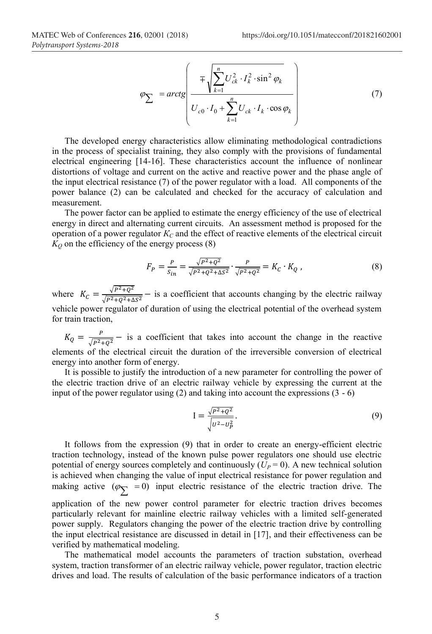$$
\varphi_{\sum} = arctg\left(\frac{\mp\sqrt{\sum_{k=1}^{n}U_{ck}^{2}\cdot I_{k}^{2}\cdot\sin^{2}\varphi_{k}}}{U_{c0}\cdot I_{0} + \sum_{k=1}^{n}U_{ck}\cdot I_{k}\cdot\cos\varphi_{k}}\right)
$$
(7)

The developed energy characteristics allow eliminating methodological contradictions in the process of specialist training, they also comply with the provisions of fundamental electrical engineering [14-16]. These characteristics account the influence of nonlinear distortions of voltage and current on the active and reactive power and the phase angle of the input electrical resistance (7) of the power regulator with a load. All components of the power balance (2) can be calculated and checked for the accuracy of calculation and measurement.

The power factor can be applied to estimate the energy efficiency of the use of electrical energy in direct and alternating current circuits. An assessment method is proposed for the operation of a power regulator  $K_C$  and the effect of reactive elements of the electrical circuit  $K<sub>O</sub>$  on the efficiency of the energy process (8)

$$
F_P = \frac{P}{s_{in}} = \frac{\sqrt{P^2 + Q^2}}{\sqrt{P^2 + Q^2 + \Delta S^2}} \cdot \frac{P}{\sqrt{P^2 + Q^2}} = K_C \cdot K_Q ,
$$
 (8)

where  $K_C = \frac{\sqrt{P^2 + Q^2}}{\sqrt{P^2 + Q^2 + \Delta S^2}}$  – is a coefficient that accounts changing by the electric railway vehicle power regulator of duration of using the electrical potential of the overhead system for train traction,

 $K_Q = \frac{P}{\sqrt{P^2+Q^2}}$  – is a coefficient that takes into account the change in the reactive elements of the electrical circuit the duration of the irreversible conversion of electrical energy into another form of energy.

It is possible to justify the introduction of a new parameter for controlling the power of the electric traction drive of an electric railway vehicle by expressing the current at the input of the power regulator using (2) and taking into account the expressions (3 - 6)

$$
I = \frac{\sqrt{P^2 + Q^2}}{\sqrt{U^2 - U_P^2}}.
$$
\n(9)

It follows from the expression (9) that in order to create an energy-efficient electric traction technology, instead of the known pulse power regulators one should use electric potential of energy sources completely and continuously  $(U_P = 0)$ . A new technical solution is achieved when changing the value of input electrical resistance for power regulation and making active  $(\varphi_{\nabla} = 0)$  input electric resistance of the electric traction drive. The application of the new power control parameter for electric traction drives becomes particularly relevant for mainline electric railway vehicles with a limited self-generated power supply. Regulators changing the power of the electric traction drive by controlling the input electrical resistance are discussed in detail in [17], and their effectiveness can be verified by mathematical modeling.

The mathematical model accounts the parameters of traction substation, overhead system, traction transformer of an electric railway vehicle, power regulator, traction electric drives and load. The results of calculation of the basic performance indicators of a traction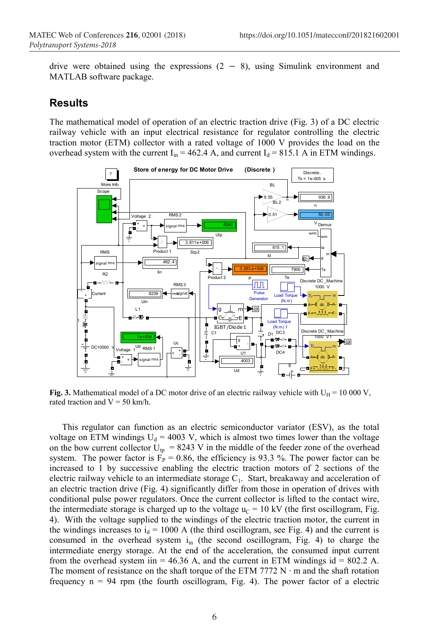drive were obtained using the expressions  $(2 - 8)$ , using Simulink environment and MATLAB software package.

#### **Results**

The mathematical model of operation of an electric traction drive (Fig. 3) of a DC electric railway vehicle with an input electrical resistance for regulator controlling the electric traction motor (ETM) collector with a rated voltage of 1000 V provides the load on the overhead system with the current  $I_{in} = 462.4$  A, and current  $I_d = 815.1$  A in ETM windings.



Fig. 3. Mathematical model of a DC motor drive of an electric railway vehicle with  $U_H = 10000 V$ , rated traction and  $V = 50$  km/h.

This regulator can function as an electric semiconductor variator (ESV), as the total voltage on ETM windings  $U_d = 4003$  V, which is almost two times lower than the voltage on the bow current collector  $U_{tp} = 8243$  V in the middle of the feeder zone of the overhead system. The power factor is  $F_P = 0.86$ , the efficiency is 93.3 %. The power factor can be increased to 1 by successive enabling the electric traction motors of 2 sections of the electric railway vehicle to an intermediate storage  $C_1$ . Start, breakaway and acceleration of an electric traction drive (Fig. 4) significantly differ from those in operation of drives with conditional pulse power regulators. Once the current collector is lifted to the contact wire, the intermediate storage is charged up to the voltage  $u_C = 10 \text{ kV}$  (the first oscillogram, Fig. 4). With the voltage supplied to the windings of the electric traction motor, the current in the windings increases to  $i_d$  = 1000 A (the third oscillogram, see Fig. 4) and the current is consumed in the overhead system  $i_{in}$  (the second oscillogram, Fig. 4) to charge the intermediate energy storage. At the end of the acceleration, the consumed input current from the overhead system iin = 46.36 A, and the current in ETM windings id = 802.2 A. The moment of resistance on the shaft torque of the ETM 7772 N ⋅ m and the shaft rotation frequency  $n = 94$  rpm (the fourth oscillogram, Fig. 4). The power factor of a electric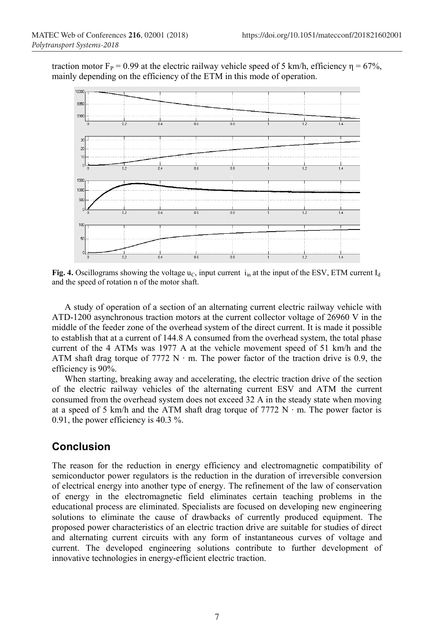traction motor  $F_P = 0.99$  at the electric railway vehicle speed of 5 km/h, efficiency η = 67%, mainly depending on the efficiency of the ETM in this mode of operation.



**Fig. 4.** Oscillograms showing the voltage  $u_C$ , input current i<sub>in</sub> at the input of the ESV, ETM current  $I_d$ and the speed of rotation n of the motor shaft.

A study of operation of a section of an alternating current electric railway vehicle with ATD-1200 asynchronous traction motors at the current collector voltage of 26960 V in the middle of the feeder zone of the overhead system of the direct current. It is made it possible to establish that at a current of 144.8 A consumed from the overhead system, the total phase current of the 4 ATMs was 1977 A at the vehicle movement speed of 51 km/h and the ATM shaft drag torque of 7772 N ⋅ m. The power factor of the traction drive is 0.9, the efficiency is 90%.

When starting, breaking away and accelerating, the electric traction drive of the section of the electric railway vehicles of the alternating current ESV and ATM the current consumed from the overhead system does not exceed 32 A in the steady state when moving at a speed of 5 km/h and the ATM shaft drag torque of 7772 N ⋅ m. The power factor is 0.91, the power efficiency is 40.3 %.

## **Conclusion**

The reason for the reduction in energy efficiency and electromagnetic compatibility of semiconductor power regulators is the reduction in the duration of irreversible conversion of electrical energy into another type of energy. The refinement of the law of conservation of energy in the electromagnetic field eliminates certain teaching problems in the educational process are eliminated. Specialists are focused on developing new engineering solutions to eliminate the cause of drawbacks of currently produced equipment. The proposed power characteristics of an electric traction drive are suitable for studies of direct and alternating current circuits with any form of instantaneous curves of voltage and current. The developed engineering solutions contribute to further development of innovative technologies in energy-efficient electric traction.